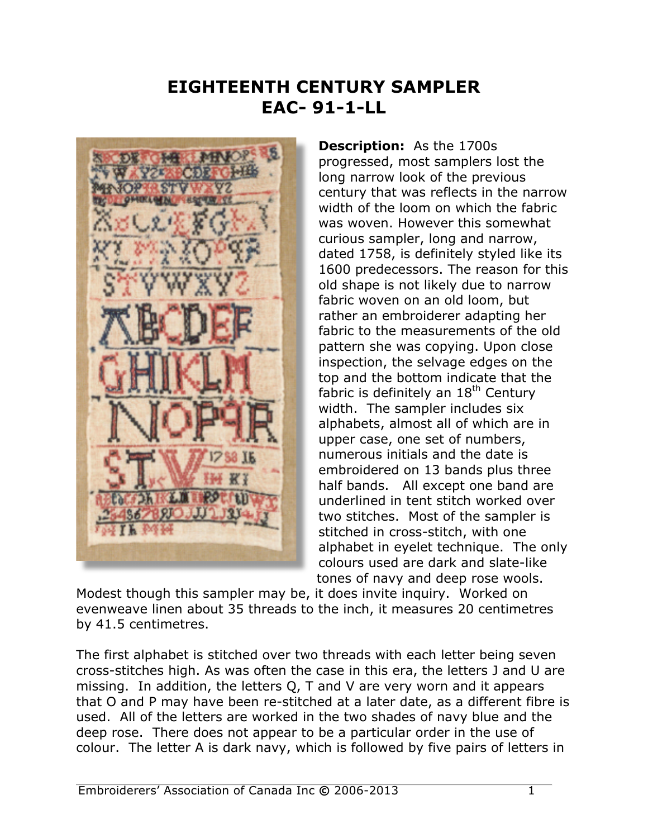## **EIGHTEENTH CENTURY SAMPLER EAC- 91-1-LL**



**Description:** As the 1700s progressed, most samplers lost the long narrow look of the previous century that was reflects in the narrow width of the loom on which the fabric was woven. However this somewhat curious sampler, long and narrow, dated 1758, is definitely styled like its 1600 predecessors. The reason for this old shape is not likely due to narrow fabric woven on an old loom, but rather an embroiderer adapting her fabric to the measurements of the old pattern she was copying. Upon close inspection, the selvage edges on the top and the bottom indicate that the fabric is definitely an  $18<sup>th</sup>$  Century width. The sampler includes six alphabets, almost all of which are in upper case, one set of numbers, numerous initials and the date is embroidered on 13 bands plus three half bands. All except one band are underlined in tent stitch worked over two stitches. Most of the sampler is stitched in cross-stitch, with one alphabet in eyelet technique. The only colours used are dark and slate-like tones of navy and deep rose wools.

Modest though this sampler may be, it does invite inquiry. Worked on evenweave linen about 35 threads to the inch, it measures 20 centimetres by 41.5 centimetres.

The first alphabet is stitched over two threads with each letter being seven cross-stitches high. As was often the case in this era, the letters J and U are missing. In addition, the letters Q, T and V are very worn and it appears that O and P may have been re-stitched at a later date, as a different fibre is used. All of the letters are worked in the two shades of navy blue and the deep rose. There does not appear to be a particular order in the use of colour. The letter A is dark navy, which is followed by five pairs of letters in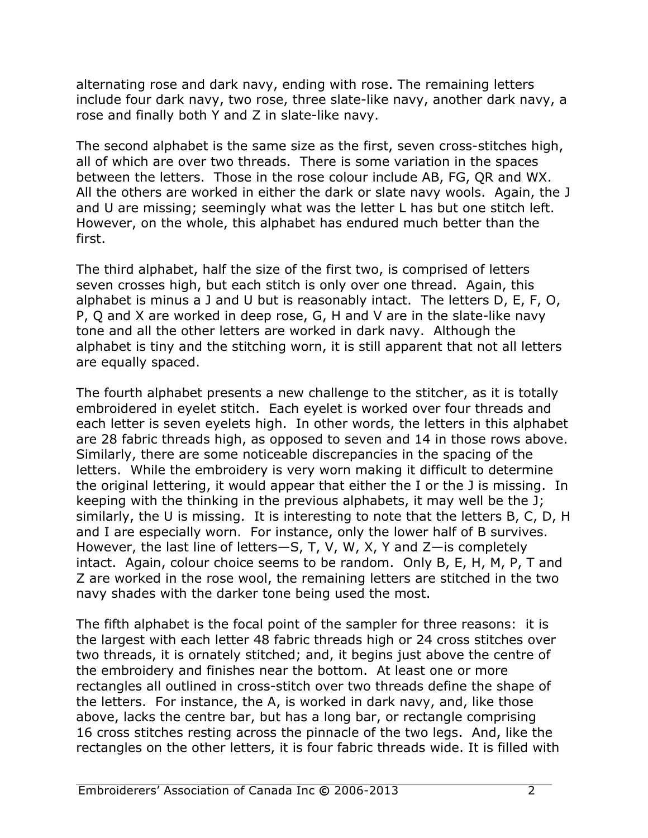alternating rose and dark navy, ending with rose. The remaining letters include four dark navy, two rose, three slate-like navy, another dark navy, a rose and finally both Y and Z in slate-like navy.

The second alphabet is the same size as the first, seven cross-stitches high, all of which are over two threads. There is some variation in the spaces between the letters. Those in the rose colour include AB, FG, QR and WX. All the others are worked in either the dark or slate navy wools. Again, the J and U are missing; seemingly what was the letter L has but one stitch left. However, on the whole, this alphabet has endured much better than the first.

The third alphabet, half the size of the first two, is comprised of letters seven crosses high, but each stitch is only over one thread. Again, this alphabet is minus a J and U but is reasonably intact. The letters D, E, F, O, P, Q and X are worked in deep rose, G, H and V are in the slate-like navy tone and all the other letters are worked in dark navy. Although the alphabet is tiny and the stitching worn, it is still apparent that not all letters are equally spaced.

The fourth alphabet presents a new challenge to the stitcher, as it is totally embroidered in eyelet stitch. Each eyelet is worked over four threads and each letter is seven eyelets high. In other words, the letters in this alphabet are 28 fabric threads high, as opposed to seven and 14 in those rows above. Similarly, there are some noticeable discrepancies in the spacing of the letters. While the embroidery is very worn making it difficult to determine the original lettering, it would appear that either the I or the J is missing. In keeping with the thinking in the previous alphabets, it may well be the J; similarly, the U is missing. It is interesting to note that the letters B, C, D, H and I are especially worn. For instance, only the lower half of B survives. However, the last line of letters—S, T, V, W, X, Y and Z—is completely intact. Again, colour choice seems to be random. Only B, E, H, M, P, T and Z are worked in the rose wool, the remaining letters are stitched in the two navy shades with the darker tone being used the most.

The fifth alphabet is the focal point of the sampler for three reasons: it is the largest with each letter 48 fabric threads high or 24 cross stitches over two threads, it is ornately stitched; and, it begins just above the centre of the embroidery and finishes near the bottom. At least one or more rectangles all outlined in cross-stitch over two threads define the shape of the letters. For instance, the A, is worked in dark navy, and, like those above, lacks the centre bar, but has a long bar, or rectangle comprising 16 cross stitches resting across the pinnacle of the two legs. And, like the rectangles on the other letters, it is four fabric threads wide. It is filled with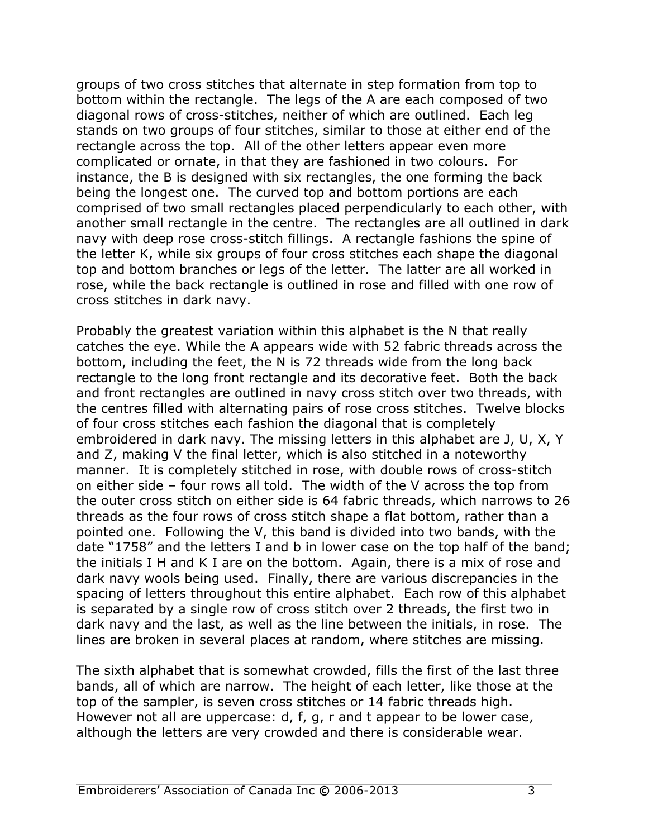groups of two cross stitches that alternate in step formation from top to bottom within the rectangle. The legs of the A are each composed of two diagonal rows of cross-stitches, neither of which are outlined. Each leg stands on two groups of four stitches, similar to those at either end of the rectangle across the top. All of the other letters appear even more complicated or ornate, in that they are fashioned in two colours. For instance, the B is designed with six rectangles, the one forming the back being the longest one. The curved top and bottom portions are each comprised of two small rectangles placed perpendicularly to each other, with another small rectangle in the centre. The rectangles are all outlined in dark navy with deep rose cross-stitch fillings. A rectangle fashions the spine of the letter K, while six groups of four cross stitches each shape the diagonal top and bottom branches or legs of the letter. The latter are all worked in rose, while the back rectangle is outlined in rose and filled with one row of cross stitches in dark navy.

Probably the greatest variation within this alphabet is the N that really catches the eye. While the A appears wide with 52 fabric threads across the bottom, including the feet, the N is 72 threads wide from the long back rectangle to the long front rectangle and its decorative feet. Both the back and front rectangles are outlined in navy cross stitch over two threads, with the centres filled with alternating pairs of rose cross stitches. Twelve blocks of four cross stitches each fashion the diagonal that is completely embroidered in dark navy. The missing letters in this alphabet are J, U, X, Y and Z, making V the final letter, which is also stitched in a noteworthy manner. It is completely stitched in rose, with double rows of cross-stitch on either side – four rows all told. The width of the V across the top from the outer cross stitch on either side is 64 fabric threads, which narrows to 26 threads as the four rows of cross stitch shape a flat bottom, rather than a pointed one. Following the V, this band is divided into two bands, with the date "1758" and the letters I and b in lower case on the top half of the band; the initials I H and K I are on the bottom. Again, there is a mix of rose and dark navy wools being used. Finally, there are various discrepancies in the spacing of letters throughout this entire alphabet. Each row of this alphabet is separated by a single row of cross stitch over 2 threads, the first two in dark navy and the last, as well as the line between the initials, in rose. The lines are broken in several places at random, where stitches are missing.

The sixth alphabet that is somewhat crowded, fills the first of the last three bands, all of which are narrow. The height of each letter, like those at the top of the sampler, is seven cross stitches or 14 fabric threads high. However not all are uppercase: d, f, g, r and t appear to be lower case, although the letters are very crowded and there is considerable wear.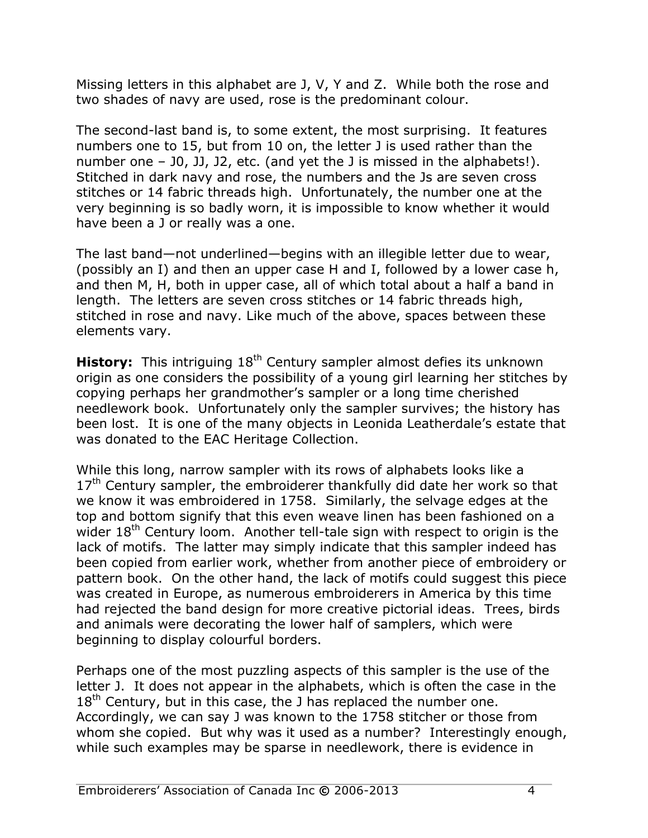Missing letters in this alphabet are J, V, Y and Z. While both the rose and two shades of navy are used, rose is the predominant colour.

The second-last band is, to some extent, the most surprising. It features numbers one to 15, but from 10 on, the letter J is used rather than the number one – J0, JJ, J2, etc. (and yet the J is missed in the alphabets!). Stitched in dark navy and rose, the numbers and the Js are seven cross stitches or 14 fabric threads high. Unfortunately, the number one at the very beginning is so badly worn, it is impossible to know whether it would have been a J or really was a one.

The last band—not underlined—begins with an illegible letter due to wear, (possibly an I) and then an upper case H and I, followed by a lower case h, and then M, H, both in upper case, all of which total about a half a band in length. The letters are seven cross stitches or 14 fabric threads high, stitched in rose and navy. Like much of the above, spaces between these elements vary.

**History:** This intriguing 18<sup>th</sup> Century sampler almost defies its unknown origin as one considers the possibility of a young girl learning her stitches by copying perhaps her grandmother's sampler or a long time cherished needlework book. Unfortunately only the sampler survives; the history has been lost. It is one of the many objects in Leonida Leatherdale's estate that was donated to the EAC Heritage Collection.

While this long, narrow sampler with its rows of alphabets looks like a  $17<sup>th</sup>$  Century sampler, the embroiderer thankfully did date her work so that we know it was embroidered in 1758. Similarly, the selvage edges at the top and bottom signify that this even weave linen has been fashioned on a wider 18<sup>th</sup> Century loom. Another tell-tale sign with respect to origin is the lack of motifs. The latter may simply indicate that this sampler indeed has been copied from earlier work, whether from another piece of embroidery or pattern book. On the other hand, the lack of motifs could suggest this piece was created in Europe, as numerous embroiderers in America by this time had rejected the band design for more creative pictorial ideas. Trees, birds and animals were decorating the lower half of samplers, which were beginning to display colourful borders.

Perhaps one of the most puzzling aspects of this sampler is the use of the letter J. It does not appear in the alphabets, which is often the case in the  $18<sup>th</sup>$  Century, but in this case, the J has replaced the number one. Accordingly, we can say J was known to the 1758 stitcher or those from whom she copied. But why was it used as a number? Interestingly enough, while such examples may be sparse in needlework, there is evidence in